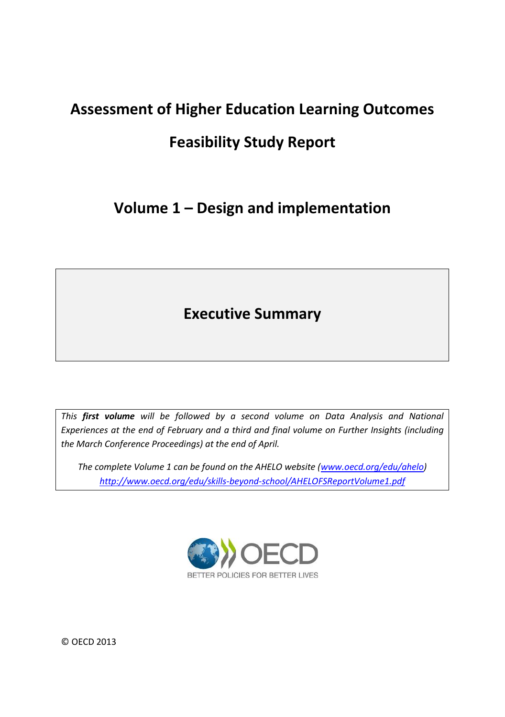# **Assessment of Higher Education Learning Outcomes**

# **Feasibility Study Report**

# **Volume 1 – Design and implementation**

# **Executive Summary**

*This first volume will be followed by a second volume on Data Analysis and National Experiences at the end of February and a third and final volume on Further Insights (including the March Conference Proceedings) at the end of April.* 

*The complete Volume 1 can be found on the AHELO website [\(www.oecd.org/edu/ahelo\)](http://www.oecd.org/edu/ahelo) <http://www.oecd.org/edu/skills-beyond-school/AHELOFSReportVolume1.pdf>*



© OECD 2013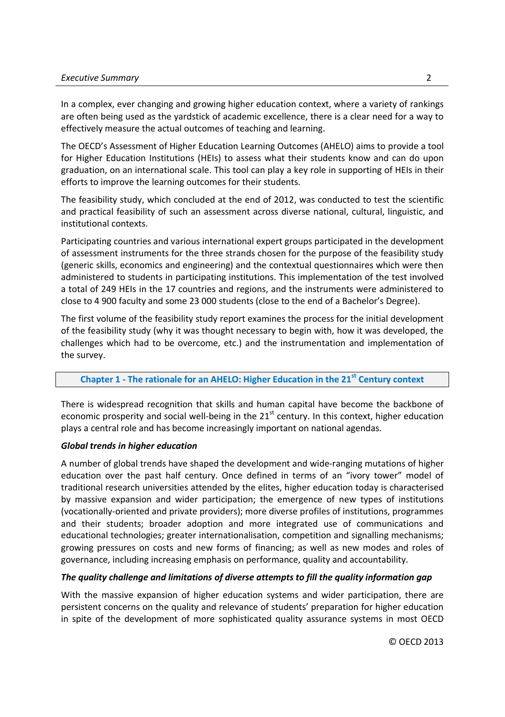In a complex, ever changing and growing higher education context, where a variety of rankings are often being used as the yardstick of academic excellence, there is a clear need for a way to effectively measure the actual outcomes of teaching and learning.

The OECD's Assessment of Higher Education Learning Outcomes (AHELO) aims to provide a tool for Higher Education Institutions (HEIs) to assess what their students know and can do upon graduation, on an international scale. This tool can play a key role in supporting of HEIs in their efforts to improve the learning outcomes for their students.

The feasibility study, which concluded at the end of 2012, was conducted to test the scientific and practical feasibility of such an assessment across diverse national, cultural, linguistic, and institutional contexts.

Participating countries and various international expert groups participated in the development of assessment instruments for the three strands chosen for the purpose of the feasibility study (generic skills, economics and engineering) and the contextual questionnaires which were then administered to students in participating institutions. This implementation of the test involved a total of 249 HEIs in the 17 countries and regions, and the instruments were administered to close to 4 900 faculty and some 23 000 students (close to the end of a Bachelor's Degree).

The first volume of the feasibility study report examines the process for the initial development of the feasibility study (why it was thought necessary to begin with, how it was developed, the challenges which had to be overcome, etc.) and the instrumentation and implementation of the survey.

# **Chapter 1 - The rationale for an AHELO: Higher Education in the 21st Century context**

There is widespread recognition that skills and human capital have become the backbone of economic prosperity and social well-being in the  $21<sup>st</sup>$  century. In this context, higher education plays a central role and has become increasingly important on national agendas.

# *Global trends in higher education*

A number of global trends have shaped the development and wide-ranging mutations of higher education over the past half century. Once defined in terms of an "ivory tower" model of traditional research universities attended by the elites, higher education today is characterised by massive expansion and wider participation; the emergence of new types of institutions (vocationally-oriented and private providers); more diverse profiles of institutions, programmes and their students; broader adoption and more integrated use of communications and educational technologies; greater internationalisation, competition and signalling mechanisms; growing pressures on costs and new forms of financing; as well as new modes and roles of governance, including increasing emphasis on performance, quality and accountability.

# *The quality challenge and limitations of diverse attempts to fill the quality information gap*

With the massive expansion of higher education systems and wider participation, there are persistent concerns on the quality and relevance of students' preparation for higher education in spite of the development of more sophisticated quality assurance systems in most OECD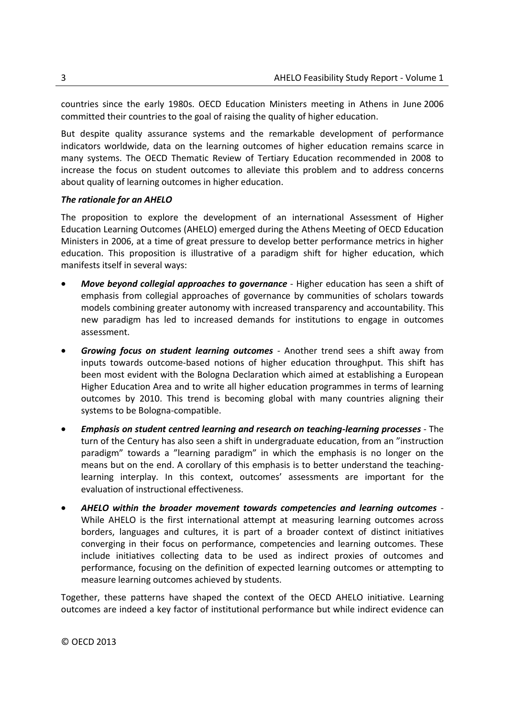countries since the early 1980s. OECD Education Ministers meeting in Athens in June 2006 committed their countries to the goal of raising the quality of higher education.

But despite quality assurance systems and the remarkable development of performance indicators worldwide, data on the learning outcomes of higher education remains scarce in many systems. The OECD Thematic Review of Tertiary Education recommended in 2008 to increase the focus on student outcomes to alleviate this problem and to address concerns about quality of learning outcomes in higher education.

# *The rationale for an AHELO*

The proposition to explore the development of an international Assessment of Higher Education Learning Outcomes (AHELO) emerged during the Athens Meeting of OECD Education Ministers in 2006, at a time of great pressure to develop better performance metrics in higher education. This proposition is illustrative of a paradigm shift for higher education, which manifests itself in several ways:

- *Move beyond collegial approaches to governance* Higher education has seen a shift of emphasis from collegial approaches of governance by communities of scholars towards models combining greater autonomy with increased transparency and accountability. This new paradigm has led to increased demands for institutions to engage in outcomes assessment.
- *Growing focus on student learning outcomes* Another trend sees a shift away from inputs towards outcome-based notions of higher education throughput. This shift has been most evident with the Bologna Declaration which aimed at establishing a European Higher Education Area and to write all higher education programmes in terms of learning outcomes by 2010. This trend is becoming global with many countries aligning their systems to be Bologna-compatible.
- *Emphasis on student centred learning and research on teaching-learning processes* The turn of the Century has also seen a shift in undergraduate education, from an "instruction paradigm" towards a "learning paradigm" in which the emphasis is no longer on the means but on the end. A corollary of this emphasis is to better understand the teachinglearning interplay. In this context, outcomes' assessments are important for the evaluation of instructional effectiveness.
- *AHELO within the broader movement towards competencies and learning outcomes* While AHELO is the first international attempt at measuring learning outcomes across borders, languages and cultures, it is part of a broader context of distinct initiatives converging in their focus on performance, competencies and learning outcomes. These include initiatives collecting data to be used as indirect proxies of outcomes and performance, focusing on the definition of expected learning outcomes or attempting to measure learning outcomes achieved by students.

Together, these patterns have shaped the context of the OECD AHELO initiative. Learning outcomes are indeed a key factor of institutional performance but while indirect evidence can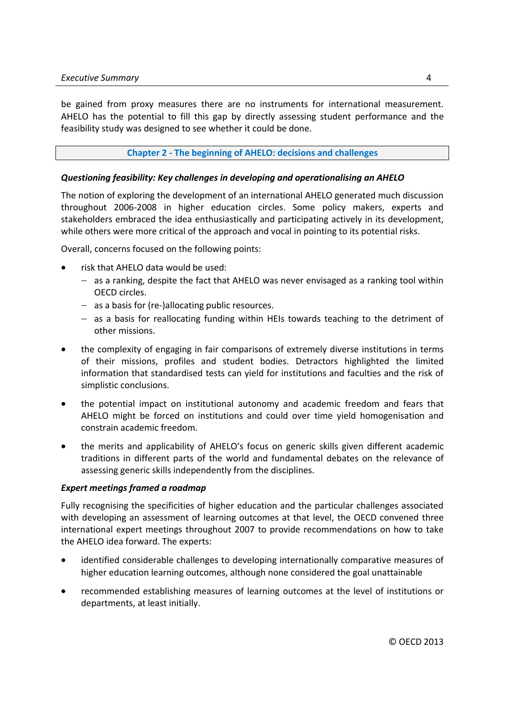be gained from proxy measures there are no instruments for international measurement. AHELO has the potential to fill this gap by directly assessing student performance and the feasibility study was designed to see whether it could be done.

# **Chapter 2 - The beginning of AHELO: decisions and challenges**

# *Questioning feasibility: Key challenges in developing and operationalising an AHELO*

The notion of exploring the development of an international AHELO generated much discussion throughout 2006-2008 in higher education circles. Some policy makers, experts and stakeholders embraced the idea enthusiastically and participating actively in its development, while others were more critical of the approach and vocal in pointing to its potential risks.

Overall, concerns focused on the following points:

- risk that AHELO data would be used:
	- $-$  as a ranking, despite the fact that AHELO was never envisaged as a ranking tool within OECD circles.
	- $-$  as a basis for (re-)allocating public resources.
	- $-$  as a basis for reallocating funding within HEIs towards teaching to the detriment of other missions.
- the complexity of engaging in fair comparisons of extremely diverse institutions in terms of their missions, profiles and student bodies. Detractors highlighted the limited information that standardised tests can yield for institutions and faculties and the risk of simplistic conclusions.
- the potential impact on institutional autonomy and academic freedom and fears that AHELO might be forced on institutions and could over time yield homogenisation and constrain academic freedom.
- the merits and applicability of AHELO's focus on generic skills given different academic traditions in different parts of the world and fundamental debates on the relevance of assessing generic skills independently from the disciplines.

# *Expert meetings framed a roadmap*

Fully recognising the specificities of higher education and the particular challenges associated with developing an assessment of learning outcomes at that level, the OECD convened three international expert meetings throughout 2007 to provide recommendations on how to take the AHELO idea forward. The experts:

- identified considerable challenges to developing internationally comparative measures of higher education learning outcomes, although none considered the goal unattainable
- recommended establishing measures of learning outcomes at the level of institutions or departments, at least initially.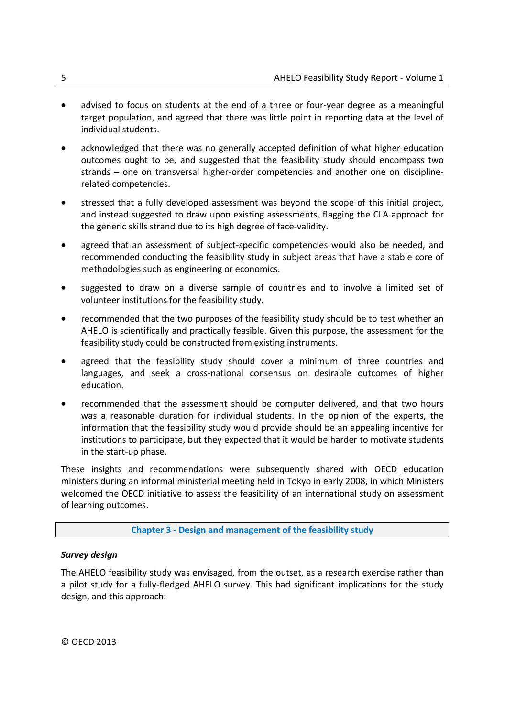- advised to focus on students at the end of a three or four-year degree as a meaningful target population, and agreed that there was little point in reporting data at the level of individual students.
- acknowledged that there was no generally accepted definition of what higher education outcomes ought to be, and suggested that the feasibility study should encompass two strands – one on transversal higher-order competencies and another one on disciplinerelated competencies.
- stressed that a fully developed assessment was beyond the scope of this initial project, and instead suggested to draw upon existing assessments, flagging the CLA approach for the generic skills strand due to its high degree of face-validity.
- agreed that an assessment of subject-specific competencies would also be needed, and recommended conducting the feasibility study in subject areas that have a stable core of methodologies such as engineering or economics.
- suggested to draw on a diverse sample of countries and to involve a limited set of volunteer institutions for the feasibility study.
- recommended that the two purposes of the feasibility study should be to test whether an AHELO is scientifically and practically feasible. Given this purpose, the assessment for the feasibility study could be constructed from existing instruments.
- agreed that the feasibility study should cover a minimum of three countries and languages, and seek a cross-national consensus on desirable outcomes of higher education.
- recommended that the assessment should be computer delivered, and that two hours was a reasonable duration for individual students. In the opinion of the experts, the information that the feasibility study would provide should be an appealing incentive for institutions to participate, but they expected that it would be harder to motivate students in the start-up phase.

These insights and recommendations were subsequently shared with OECD education ministers during an informal ministerial meeting held in Tokyo in early 2008, in which Ministers welcomed the OECD initiative to assess the feasibility of an international study on assessment of learning outcomes.

# **Chapter 3 - Design and management of the feasibility study**

# *Survey design*

The AHELO feasibility study was envisaged, from the outset, as a research exercise rather than a pilot study for a fully-fledged AHELO survey. This had significant implications for the study design, and this approach:

© OECD 2013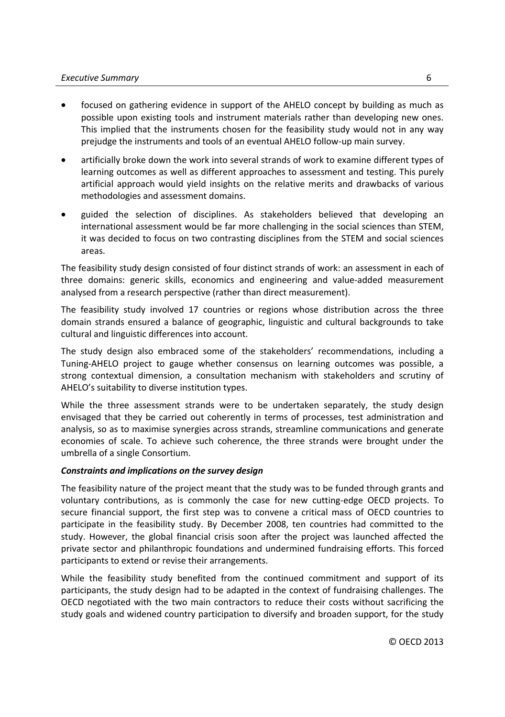- focused on gathering evidence in support of the AHELO concept by building as much as possible upon existing tools and instrument materials rather than developing new ones. This implied that the instruments chosen for the feasibility study would not in any way prejudge the instruments and tools of an eventual AHELO follow-up main survey.
- artificially broke down the work into several strands of work to examine different types of learning outcomes as well as different approaches to assessment and testing. This purely artificial approach would yield insights on the relative merits and drawbacks of various methodologies and assessment domains.
- guided the selection of disciplines. As stakeholders believed that developing an international assessment would be far more challenging in the social sciences than STEM, it was decided to focus on two contrasting disciplines from the STEM and social sciences areas.

The feasibility study design consisted of four distinct strands of work: an assessment in each of three domains: generic skills, economics and engineering and value-added measurement analysed from a research perspective (rather than direct measurement).

The feasibility study involved 17 countries or regions whose distribution across the three domain strands ensured a balance of geographic, linguistic and cultural backgrounds to take cultural and linguistic differences into account.

The study design also embraced some of the stakeholders' recommendations, including a Tuning-AHELO project to gauge whether consensus on learning outcomes was possible, a strong contextual dimension, a consultation mechanism with stakeholders and scrutiny of AHELO's suitability to diverse institution types.

While the three assessment strands were to be undertaken separately, the study design envisaged that they be carried out coherently in terms of processes, test administration and analysis, so as to maximise synergies across strands, streamline communications and generate economies of scale. To achieve such coherence, the three strands were brought under the umbrella of a single Consortium.

# *Constraints and implications on the survey design*

The feasibility nature of the project meant that the study was to be funded through grants and voluntary contributions, as is commonly the case for new cutting-edge OECD projects. To secure financial support, the first step was to convene a critical mass of OECD countries to participate in the feasibility study. By December 2008, ten countries had committed to the study. However, the global financial crisis soon after the project was launched affected the private sector and philanthropic foundations and undermined fundraising efforts. This forced participants to extend or revise their arrangements.

While the feasibility study benefited from the continued commitment and support of its participants, the study design had to be adapted in the context of fundraising challenges. The OECD negotiated with the two main contractors to reduce their costs without sacrificing the study goals and widened country participation to diversify and broaden support, for the study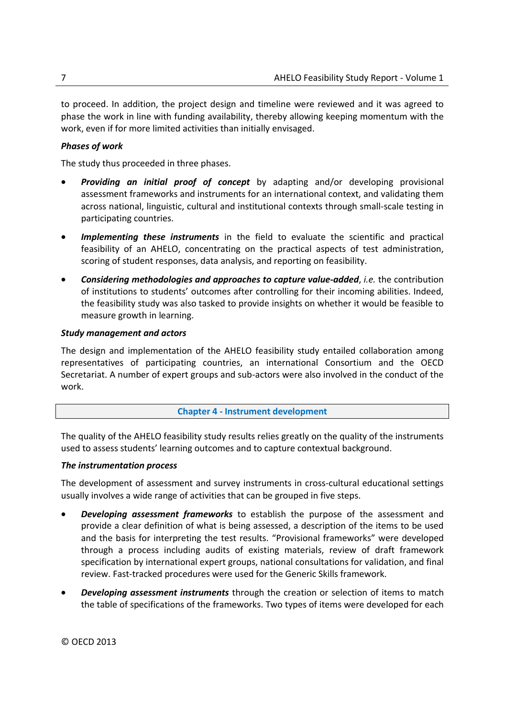to proceed. In addition, the project design and timeline were reviewed and it was agreed to phase the work in line with funding availability, thereby allowing keeping momentum with the work, even if for more limited activities than initially envisaged.

# *Phases of work*

The study thus proceeded in three phases.

- *Providing an initial proof of concept* by adapting and/or developing provisional assessment frameworks and instruments for an international context, and validating them across national, linguistic, cultural and institutional contexts through small-scale testing in participating countries.
- *Implementing these instruments* in the field to evaluate the scientific and practical feasibility of an AHELO, concentrating on the practical aspects of test administration, scoring of student responses, data analysis, and reporting on feasibility.
- *Considering methodologies and approaches to capture value-added*, *i.e.* the contribution of institutions to students' outcomes after controlling for their incoming abilities. Indeed, the feasibility study was also tasked to provide insights on whether it would be feasible to measure growth in learning.

# *Study management and actors*

The design and implementation of the AHELO feasibility study entailed collaboration among representatives of participating countries, an international Consortium and the OECD Secretariat. A number of expert groups and sub-actors were also involved in the conduct of the work.

# **Chapter 4 - Instrument development**

The quality of the AHELO feasibility study results relies greatly on the quality of the instruments used to assess students' learning outcomes and to capture contextual background.

# *The instrumentation process*

The development of assessment and survey instruments in cross-cultural educational settings usually involves a wide range of activities that can be grouped in five steps.

- *Developing assessment frameworks* to establish the purpose of the assessment and provide a clear definition of what is being assessed, a description of the items to be used and the basis for interpreting the test results. "Provisional frameworks" were developed through a process including audits of existing materials, review of draft framework specification by international expert groups, national consultations for validation, and final review. Fast-tracked procedures were used for the Generic Skills framework.
- *Developing assessment instruments* through the creation or selection of items to match the table of specifications of the frameworks. Two types of items were developed for each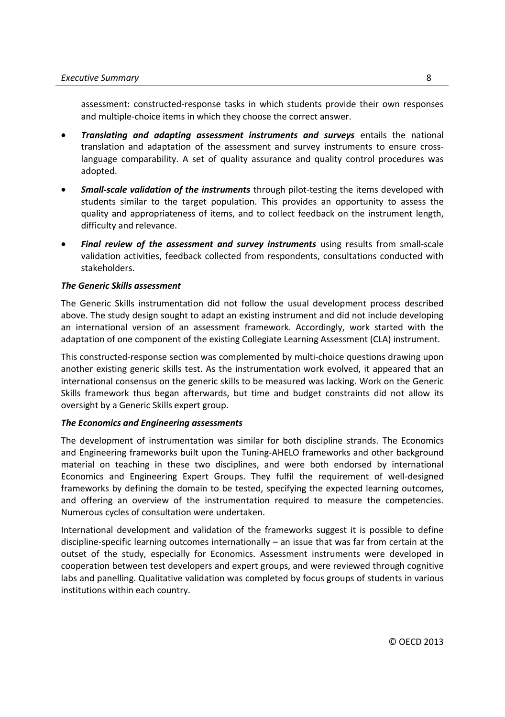assessment: constructed-response tasks in which students provide their own responses and multiple-choice items in which they choose the correct answer.

- *Translating and adapting assessment instruments and surveys* entails the national translation and adaptation of the assessment and survey instruments to ensure crosslanguage comparability. A set of quality assurance and quality control procedures was adopted.
- *Small-scale validation of the instruments* through pilot-testing the items developed with students similar to the target population. This provides an opportunity to assess the quality and appropriateness of items, and to collect feedback on the instrument length, difficulty and relevance.
- *Final review of the assessment and survey instruments* using results from small-scale validation activities, feedback collected from respondents, consultations conducted with stakeholders.

# *The Generic Skills assessment*

The Generic Skills instrumentation did not follow the usual development process described above. The study design sought to adapt an existing instrument and did not include developing an international version of an assessment framework. Accordingly, work started with the adaptation of one component of the existing Collegiate Learning Assessment (CLA) instrument.

This constructed-response section was complemented by multi-choice questions drawing upon another existing generic skills test. As the instrumentation work evolved, it appeared that an international consensus on the generic skills to be measured was lacking. Work on the Generic Skills framework thus began afterwards, but time and budget constraints did not allow its oversight by a Generic Skills expert group.

#### *The Economics and Engineering assessments*

The development of instrumentation was similar for both discipline strands. The Economics and Engineering frameworks built upon the Tuning-AHELO frameworks and other background material on teaching in these two disciplines, and were both endorsed by international Economics and Engineering Expert Groups. They fulfil the requirement of well-designed frameworks by defining the domain to be tested, specifying the expected learning outcomes, and offering an overview of the instrumentation required to measure the competencies. Numerous cycles of consultation were undertaken.

International development and validation of the frameworks suggest it is possible to define discipline-specific learning outcomes internationally – an issue that was far from certain at the outset of the study, especially for Economics. Assessment instruments were developed in cooperation between test developers and expert groups, and were reviewed through cognitive labs and panelling. Qualitative validation was completed by focus groups of students in various institutions within each country.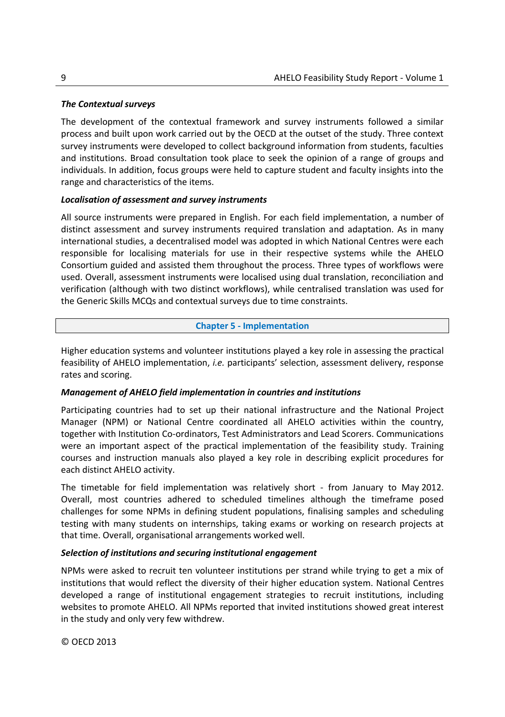# *The Contextual surveys*

The development of the contextual framework and survey instruments followed a similar process and built upon work carried out by the OECD at the outset of the study. Three context survey instruments were developed to collect background information from students, faculties and institutions. Broad consultation took place to seek the opinion of a range of groups and individuals. In addition, focus groups were held to capture student and faculty insights into the range and characteristics of the items.

# *Localisation of assessment and survey instruments*

All source instruments were prepared in English. For each field implementation, a number of distinct assessment and survey instruments required translation and adaptation. As in many international studies, a decentralised model was adopted in which National Centres were each responsible for localising materials for use in their respective systems while the AHELO Consortium guided and assisted them throughout the process. Three types of workflows were used. Overall, assessment instruments were localised using dual translation, reconciliation and verification (although with two distinct workflows), while centralised translation was used for the Generic Skills MCQs and contextual surveys due to time constraints.

# **Chapter 5 - Implementation**

Higher education systems and volunteer institutions played a key role in assessing the practical feasibility of AHELO implementation, *i.e.* participants' selection, assessment delivery, response rates and scoring.

# *Management of AHELO field implementation in countries and institutions*

Participating countries had to set up their national infrastructure and the National Project Manager (NPM) or National Centre coordinated all AHELO activities within the country, together with Institution Co-ordinators, Test Administrators and Lead Scorers. Communications were an important aspect of the practical implementation of the feasibility study. Training courses and instruction manuals also played a key role in describing explicit procedures for each distinct AHELO activity.

The timetable for field implementation was relatively short - from January to May 2012. Overall, most countries adhered to scheduled timelines although the timeframe posed challenges for some NPMs in defining student populations, finalising samples and scheduling testing with many students on internships, taking exams or working on research projects at that time. Overall, organisational arrangements worked well.

# *Selection of institutions and securing institutional engagement*

NPMs were asked to recruit ten volunteer institutions per strand while trying to get a mix of institutions that would reflect the diversity of their higher education system. National Centres developed a range of institutional engagement strategies to recruit institutions, including websites to promote AHELO. All NPMs reported that invited institutions showed great interest in the study and only very few withdrew.

© OECD 2013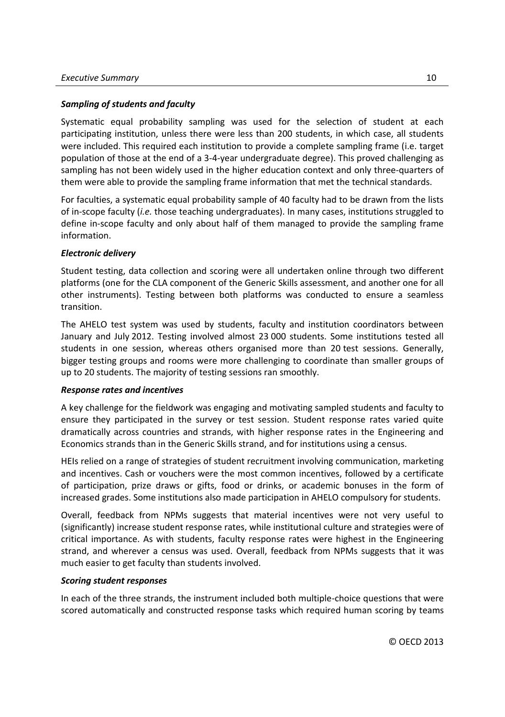# *Sampling of students and faculty*

Systematic equal probability sampling was used for the selection of student at each participating institution, unless there were less than 200 students, in which case, all students were included. This required each institution to provide a complete sampling frame (i.e. target population of those at the end of a 3-4-year undergraduate degree). This proved challenging as sampling has not been widely used in the higher education context and only three-quarters of them were able to provide the sampling frame information that met the technical standards.

For faculties, a systematic equal probability sample of 40 faculty had to be drawn from the lists of in-scope faculty (*i.e.* those teaching undergraduates). In many cases, institutions struggled to define in-scope faculty and only about half of them managed to provide the sampling frame information.

# *Electronic delivery*

Student testing, data collection and scoring were all undertaken online through two different platforms (one for the CLA component of the Generic Skills assessment, and another one for all other instruments). Testing between both platforms was conducted to ensure a seamless transition.

The AHELO test system was used by students, faculty and institution coordinators between January and July 2012. Testing involved almost 23 000 students. Some institutions tested all students in one session, whereas others organised more than 20 test sessions. Generally, bigger testing groups and rooms were more challenging to coordinate than smaller groups of up to 20 students. The majority of testing sessions ran smoothly.

# *Response rates and incentives*

A key challenge for the fieldwork was engaging and motivating sampled students and faculty to ensure they participated in the survey or test session. Student response rates varied quite dramatically across countries and strands, with higher response rates in the Engineering and Economics strands than in the Generic Skills strand, and for institutions using a census.

HEIs relied on a range of strategies of student recruitment involving communication, marketing and incentives. Cash or vouchers were the most common incentives, followed by a certificate of participation, prize draws or gifts, food or drinks, or academic bonuses in the form of increased grades. Some institutions also made participation in AHELO compulsory for students.

Overall, feedback from NPMs suggests that material incentives were not very useful to (significantly) increase student response rates, while institutional culture and strategies were of critical importance. As with students, faculty response rates were highest in the Engineering strand, and wherever a census was used. Overall, feedback from NPMs suggests that it was much easier to get faculty than students involved.

# *Scoring student responses*

In each of the three strands, the instrument included both multiple-choice questions that were scored automatically and constructed response tasks which required human scoring by teams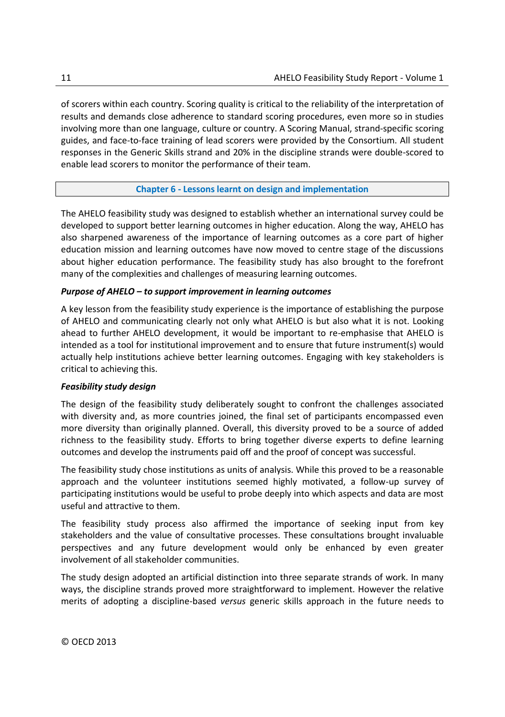of scorers within each country. Scoring quality is critical to the reliability of the interpretation of results and demands close adherence to standard scoring procedures, even more so in studies involving more than one language, culture or country. A Scoring Manual, strand-specific scoring guides, and face-to-face training of lead scorers were provided by the Consortium. All student responses in the Generic Skills strand and 20% in the discipline strands were double-scored to enable lead scorers to monitor the performance of their team.

# **Chapter 6 - Lessons learnt on design and implementation**

The AHELO feasibility study was designed to establish whether an international survey could be developed to support better learning outcomes in higher education. Along the way, AHELO has also sharpened awareness of the importance of learning outcomes as a core part of higher education mission and learning outcomes have now moved to centre stage of the discussions about higher education performance. The feasibility study has also brought to the forefront many of the complexities and challenges of measuring learning outcomes.

# *Purpose of AHELO – to support improvement in learning outcomes*

A key lesson from the feasibility study experience is the importance of establishing the purpose of AHELO and communicating clearly not only what AHELO is but also what it is not. Looking ahead to further AHELO development, it would be important to re-emphasise that AHELO is intended as a tool for institutional improvement and to ensure that future instrument(s) would actually help institutions achieve better learning outcomes. Engaging with key stakeholders is critical to achieving this.

# *Feasibility study design*

The design of the feasibility study deliberately sought to confront the challenges associated with diversity and, as more countries joined, the final set of participants encompassed even more diversity than originally planned. Overall, this diversity proved to be a source of added richness to the feasibility study. Efforts to bring together diverse experts to define learning outcomes and develop the instruments paid off and the proof of concept was successful.

The feasibility study chose institutions as units of analysis. While this proved to be a reasonable approach and the volunteer institutions seemed highly motivated, a follow-up survey of participating institutions would be useful to probe deeply into which aspects and data are most useful and attractive to them.

The feasibility study process also affirmed the importance of seeking input from key stakeholders and the value of consultative processes. These consultations brought invaluable perspectives and any future development would only be enhanced by even greater involvement of all stakeholder communities.

The study design adopted an artificial distinction into three separate strands of work. In many ways, the discipline strands proved more straightforward to implement. However the relative merits of adopting a discipline-based *versus* generic skills approach in the future needs to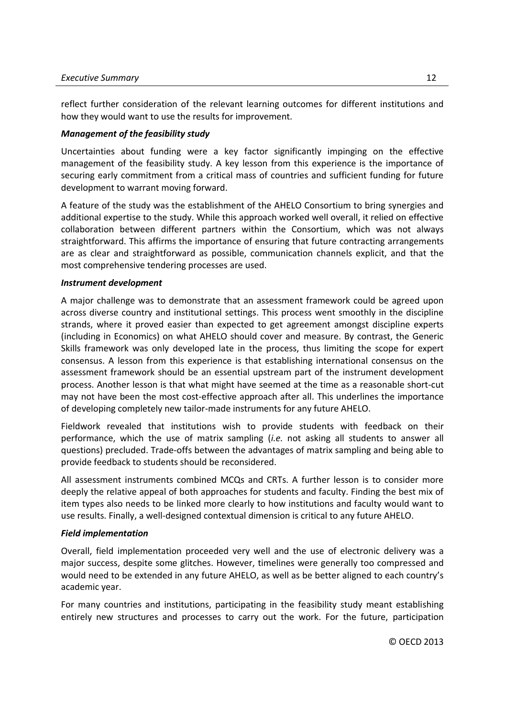reflect further consideration of the relevant learning outcomes for different institutions and how they would want to use the results for improvement.

# *Management of the feasibility study*

Uncertainties about funding were a key factor significantly impinging on the effective management of the feasibility study. A key lesson from this experience is the importance of securing early commitment from a critical mass of countries and sufficient funding for future development to warrant moving forward.

A feature of the study was the establishment of the AHELO Consortium to bring synergies and additional expertise to the study. While this approach worked well overall, it relied on effective collaboration between different partners within the Consortium, which was not always straightforward. This affirms the importance of ensuring that future contracting arrangements are as clear and straightforward as possible, communication channels explicit, and that the most comprehensive tendering processes are used.

#### *Instrument development*

A major challenge was to demonstrate that an assessment framework could be agreed upon across diverse country and institutional settings. This process went smoothly in the discipline strands, where it proved easier than expected to get agreement amongst discipline experts (including in Economics) on what AHELO should cover and measure. By contrast, the Generic Skills framework was only developed late in the process, thus limiting the scope for expert consensus. A lesson from this experience is that establishing international consensus on the assessment framework should be an essential upstream part of the instrument development process. Another lesson is that what might have seemed at the time as a reasonable short-cut may not have been the most cost-effective approach after all. This underlines the importance of developing completely new tailor-made instruments for any future AHELO.

Fieldwork revealed that institutions wish to provide students with feedback on their performance, which the use of matrix sampling (*i.e.* not asking all students to answer all questions) precluded. Trade-offs between the advantages of matrix sampling and being able to provide feedback to students should be reconsidered.

All assessment instruments combined MCQs and CRTs. A further lesson is to consider more deeply the relative appeal of both approaches for students and faculty. Finding the best mix of item types also needs to be linked more clearly to how institutions and faculty would want to use results. Finally, a well-designed contextual dimension is critical to any future AHELO.

# *Field implementation*

Overall, field implementation proceeded very well and the use of electronic delivery was a major success, despite some glitches. However, timelines were generally too compressed and would need to be extended in any future AHELO, as well as be better aligned to each country's academic year.

For many countries and institutions, participating in the feasibility study meant establishing entirely new structures and processes to carry out the work. For the future, participation